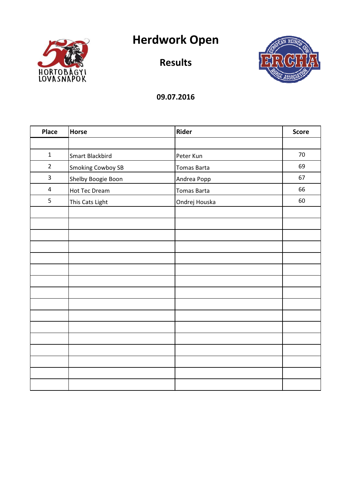

# Herdwork Open

Results



| Place                   | Horse                    | Rider              | <b>Score</b> |
|-------------------------|--------------------------|--------------------|--------------|
|                         |                          |                    |              |
| $\mathbf 1$             | Smart Blackbird          | Peter Kun          | 70           |
| $\overline{2}$          | <b>Smoking Cowboy SB</b> | Tomas Barta        | 69           |
| $\mathsf{3}$            | Shelby Boogie Boon       | Andrea Popp        | 67           |
| $\overline{\mathbf{4}}$ | <b>Hot Tec Dream</b>     | <b>Tomas Barta</b> | 66           |
| 5                       | This Cats Light          | Ondrej Houska      | 60           |
|                         |                          |                    |              |
|                         |                          |                    |              |
|                         |                          |                    |              |
|                         |                          |                    |              |
|                         |                          |                    |              |
|                         |                          |                    |              |
|                         |                          |                    |              |
|                         |                          |                    |              |
|                         |                          |                    |              |
|                         |                          |                    |              |
|                         |                          |                    |              |
|                         |                          |                    |              |
|                         |                          |                    |              |
|                         |                          |                    |              |
|                         |                          |                    |              |
|                         |                          |                    |              |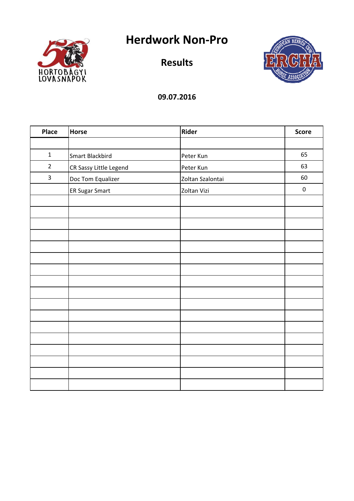Herdwork Non-Pro



Results



| Place          | <b>Horse</b>           | <b>Rider</b>     | <b>Score</b> |
|----------------|------------------------|------------------|--------------|
|                |                        |                  |              |
| $\mathbf{1}$   | Smart Blackbird        | Peter Kun        | 65           |
| $\overline{2}$ | CR Sassy Little Legend | Peter Kun        | 63           |
| 3              | Doc Tom Equalizer      | Zoltan Szalontai | 60           |
|                | ER Sugar Smart         | Zoltan Vizi      | $\mathbf 0$  |
|                |                        |                  |              |
|                |                        |                  |              |
|                |                        |                  |              |
|                |                        |                  |              |
|                |                        |                  |              |
|                |                        |                  |              |
|                |                        |                  |              |
|                |                        |                  |              |
|                |                        |                  |              |
|                |                        |                  |              |
|                |                        |                  |              |
|                |                        |                  |              |
|                |                        |                  |              |
|                |                        |                  |              |
|                |                        |                  |              |
|                |                        |                  |              |
|                |                        |                  |              |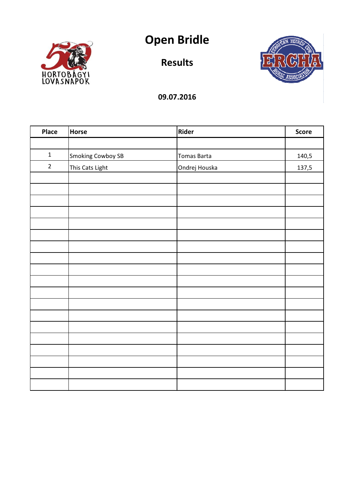



Results



| Place          | Horse                    | Rider         | <b>Score</b> |
|----------------|--------------------------|---------------|--------------|
|                |                          |               |              |
| $\mathbf 1$    | <b>Smoking Cowboy SB</b> | Tomas Barta   | 140,5        |
| $\overline{2}$ | This Cats Light          | Ondrej Houska | 137,5        |
|                |                          |               |              |
|                |                          |               |              |
|                |                          |               |              |
|                |                          |               |              |
|                |                          |               |              |
|                |                          |               |              |
|                |                          |               |              |
|                |                          |               |              |
|                |                          |               |              |
|                |                          |               |              |
|                |                          |               |              |
|                |                          |               |              |
|                |                          |               |              |
|                |                          |               |              |
|                |                          |               |              |
|                |                          |               |              |
|                |                          |               |              |
|                |                          |               |              |
|                |                          |               |              |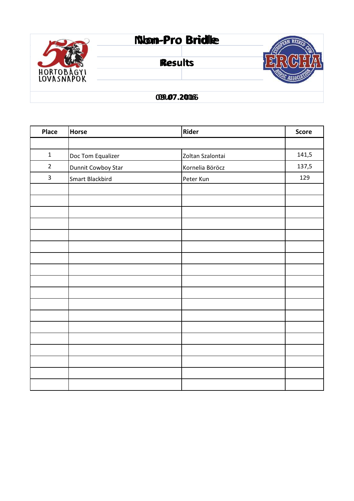

#### 09.07.2016 09.07.2016

| <b>Place</b>   | <b>Horse</b>       | Rider            | <b>Score</b> |
|----------------|--------------------|------------------|--------------|
|                |                    |                  |              |
| $\mathbf 1$    | Doc Tom Equalizer  | Zoltan Szalontai | 141,5        |
| $\overline{2}$ | Dunnit Cowboy Star | Kornelia Böröcz  | 137,5        |
| 3              | Smart Blackbird    | Peter Kun        | 129          |
|                |                    |                  |              |
|                |                    |                  |              |
|                |                    |                  |              |
|                |                    |                  |              |
|                |                    |                  |              |
|                |                    |                  |              |
|                |                    |                  |              |
|                |                    |                  |              |
|                |                    |                  |              |
|                |                    |                  |              |
|                |                    |                  |              |
|                |                    |                  |              |
|                |                    |                  |              |
|                |                    |                  |              |
|                |                    |                  |              |
|                |                    |                  |              |
|                |                    |                  |              |
|                |                    |                  |              |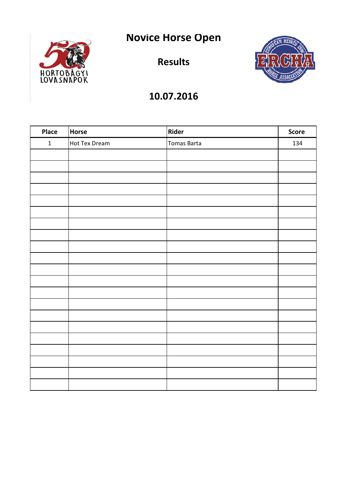Novice Horse Open



Results



| Place        | Horse         | Rider       | <b>Score</b> |
|--------------|---------------|-------------|--------------|
| $\mathbf{1}$ | Hot Tex Dream | Tomas Barta | 134          |
|              |               |             |              |
|              |               |             |              |
|              |               |             |              |
|              |               |             |              |
|              |               |             |              |
|              |               |             |              |
|              |               |             |              |
|              |               |             |              |
|              |               |             |              |
|              |               |             |              |
|              |               |             |              |
|              |               |             |              |
|              |               |             |              |
|              |               |             |              |
|              |               |             |              |
|              |               |             |              |
|              |               |             |              |
|              |               |             |              |
|              |               |             |              |
|              |               |             |              |
|              |               |             |              |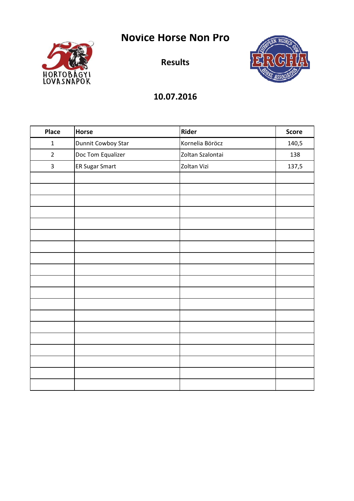Novice Horse Non Pro



Results



| <b>Place</b>            | Horse                 | Rider            | <b>Score</b> |
|-------------------------|-----------------------|------------------|--------------|
| $\mathbf 1$             | Dunnit Cowboy Star    | Kornelia Böröcz  | 140,5        |
| $\overline{2}$          | Doc Tom Equalizer     | Zoltan Szalontai | 138          |
| $\overline{\mathbf{3}}$ | <b>ER Sugar Smart</b> | Zoltan Vizi      | 137,5        |
|                         |                       |                  |              |
|                         |                       |                  |              |
|                         |                       |                  |              |
|                         |                       |                  |              |
|                         |                       |                  |              |
|                         |                       |                  |              |
|                         |                       |                  |              |
|                         |                       |                  |              |
|                         |                       |                  |              |
|                         |                       |                  |              |
|                         |                       |                  |              |
|                         |                       |                  |              |
|                         |                       |                  |              |
|                         |                       |                  |              |
|                         |                       |                  |              |
|                         |                       |                  |              |
|                         |                       |                  |              |
|                         |                       |                  |              |
|                         |                       |                  |              |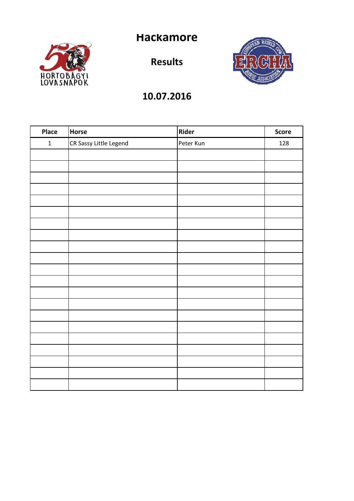Hackamore



Results



| Place        | Horse                  | Rider     | Score |
|--------------|------------------------|-----------|-------|
| $\mathbf{1}$ | CR Sassy Little Legend | Peter Kun | 128   |
|              |                        |           |       |
|              |                        |           |       |
|              |                        |           |       |
|              |                        |           |       |
|              |                        |           |       |
|              |                        |           |       |
|              |                        |           |       |
|              |                        |           |       |
|              |                        |           |       |
|              |                        |           |       |
|              |                        |           |       |
|              |                        |           |       |
|              |                        |           |       |
|              |                        |           |       |
|              |                        |           |       |
|              |                        |           |       |
|              |                        |           |       |
|              |                        |           |       |
|              |                        |           |       |
|              |                        |           |       |
|              |                        |           |       |
|              |                        |           |       |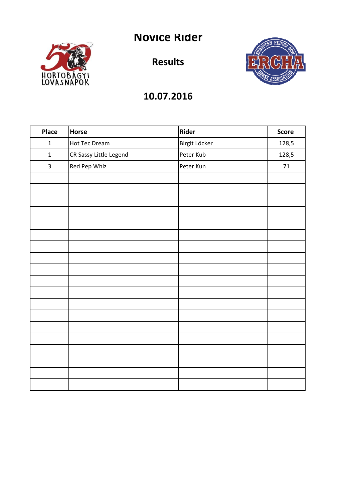# Novice Rider



Results



| Place          | Horse                  | Rider         | <b>Score</b> |
|----------------|------------------------|---------------|--------------|
| $\mathbf 1$    | Hot Tec Dream          | Birgit Löcker | 128,5        |
| $\mathbf 1$    | CR Sassy Little Legend | Peter Kub     | 128,5        |
| $\overline{3}$ | Red Pep Whiz           | Peter Kun     | $71\,$       |
|                |                        |               |              |
|                |                        |               |              |
|                |                        |               |              |
|                |                        |               |              |
|                |                        |               |              |
|                |                        |               |              |
|                |                        |               |              |
|                |                        |               |              |
|                |                        |               |              |
|                |                        |               |              |
|                |                        |               |              |
|                |                        |               |              |
|                |                        |               |              |
|                |                        |               |              |
|                |                        |               |              |
|                |                        |               |              |
|                |                        |               |              |
|                |                        |               |              |
|                |                        |               |              |